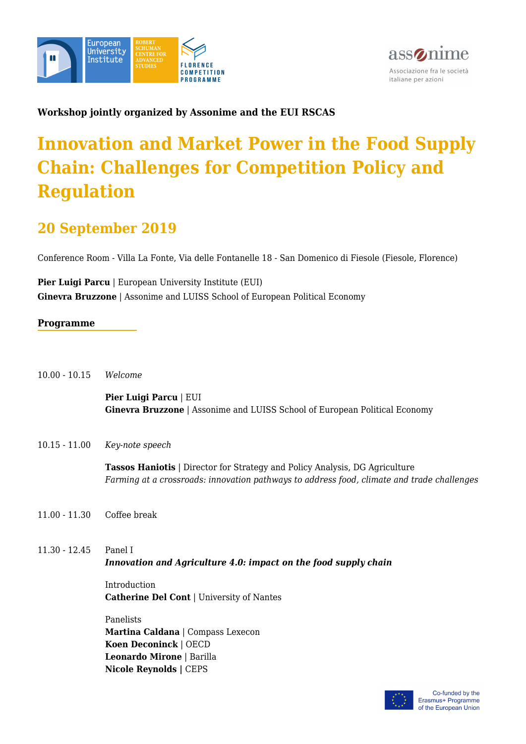



### **Workshop jointly organized by Assonime and the EUI RSCAS**

# **Innovation and Market Power in the Food Supply Chain: Challenges for Competition Policy and Regulation**

## **20 September 2019**

Conference Room - Villa La Fonte, Via delle Fontanelle 18 - San Domenico di Fiesole (Fiesole, Florence)

**Pier Luigi Parcu** | European University Institute (EUI) **Ginevra Bruzzone** | Assonime and LUISS School of European Political Economy

#### **Programme**

10.00 - 10.15 *Welcome*

**Pier Luigi Parcu** | EUI **Ginevra Bruzzone** | Assonime and LUISS School of European Political Economy

10.15 - 11.00 *Key-note speech*

**Tassos Haniotis** | Director for Strategy and Policy Analysis, DG Agriculture *Farming at a crossroads: innovation pathways to address food, climate and trade challenges*

- 11.00 11.30 Coffee break
- 11.30 12.45 Panel I *Innovation and Agriculture 4.0: impact on the food supply chain*

Introduction **Catherine Del Cont** | University of Nantes

Panelists **Martina Caldana** | Compass Lexecon **Koen Deconinck** | OECD **Leonardo Mirone** | Barilla **Nicole Reynolds |** CEPS